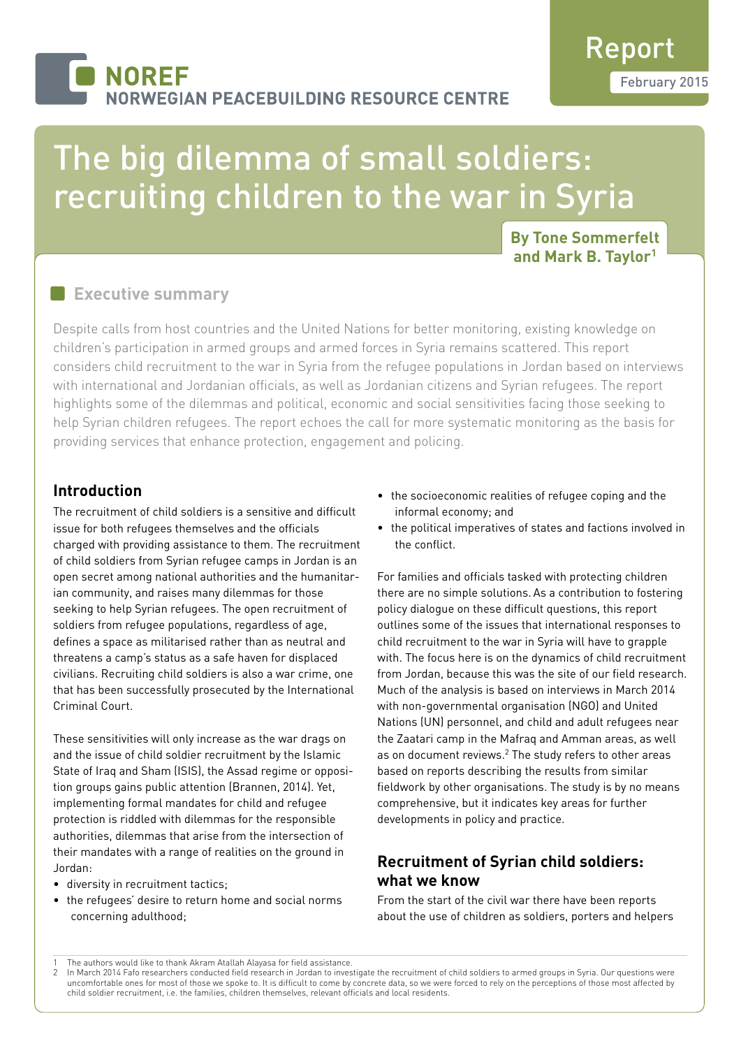## **NOREF NORWEGIAN PEACEBUILDING RESOURCE CENTRE**

# The big dilemma of small soldiers: recruiting children to the war in Syria

#### **By Tone Sommerfelt and Mark B. Taylor1**

### **Executive summary**

Despite calls from host countries and the United Nations for better monitoring, existing knowledge on children's participation in armed groups and armed forces in Syria remains scattered. This report considers child recruitment to the war in Syria from the refugee populations in Jordan based on interviews with international and Jordanian officials, as well as Jordanian citizens and Syrian refugees. The report highlights some of the dilemmas and political, economic and social sensitivities facing those seeking to help Syrian children refugees. The report echoes the call for more systematic monitoring as the basis for providing services that enhance protection, engagement and policing.

#### **Introduction**

The recruitment of child soldiers is a sensitive and difficult issue for both refugees themselves and the officials charged with providing assistance to them. The recruitment of child soldiers from Syrian refugee camps in Jordan is an open secret among national authorities and the humanitarian community, and raises many dilemmas for those seeking to help Syrian refugees. The open recruitment of soldiers from refugee populations, regardless of age, defines a space as militarised rather than as neutral and threatens a camp's status as a safe haven for displaced civilians. Recruiting child soldiers is also a war crime, one that has been successfully prosecuted by the International Criminal Court.

These sensitivities will only increase as the war drags on and the issue of child soldier recruitment by the Islamic State of Iraq and Sham (ISIS), the Assad regime or opposition groups gains public attention (Brannen, 2014). Yet, implementing formal mandates for child and refugee protection is riddled with dilemmas for the responsible authorities, dilemmas that arise from the intersection of their mandates with a range of realities on the ground in Jordan:

- diversity in recruitment tactics;
- the refugees' desire to return home and social norms concerning adulthood;
- the socioeconomic realities of refugee coping and the informal economy; and
- the political imperatives of states and factions involved in the conflict.

For families and officials tasked with protecting children there are no simple solutions. As a contribution to fostering policy dialogue on these difficult questions, this report outlines some of the issues that international responses to child recruitment to the war in Syria will have to grapple with. The focus here is on the dynamics of child recruitment from Jordan, because this was the site of our field research. Much of the analysis is based on interviews in March 2014 with non-governmental organisation (NGO) and United Nations (UN) personnel, and child and adult refugees near the Zaatari camp in the Mafraq and Amman areas, as well as on document reviews.<sup>2</sup> The study refers to other areas based on reports describing the results from similar fieldwork by other organisations. The study is by no means comprehensive, but it indicates key areas for further developments in policy and practice.

#### **Recruitment of Syrian child soldiers: what we know**

From the start of the civil war there have been reports about the use of children as soldiers, porters and helpers

<sup>1</sup> The authors would like to thank Akram Atallah Alayasa for field assistance.<br>2 In March 2014 Fafo researchers conducted field research in Jordan to invest

In March 2014 Fafo researchers conducted field research in Jordan to investigate the recruitment of child soldiers to armed groups in Syria. Our questions were uncomfortable ones for most of those we spoke to. It is difficult to come by concrete data, so we were forced to rely on the perceptions of those most affected by child soldier recruitment, i.e. the families, children themselves, relevant officials and local residents.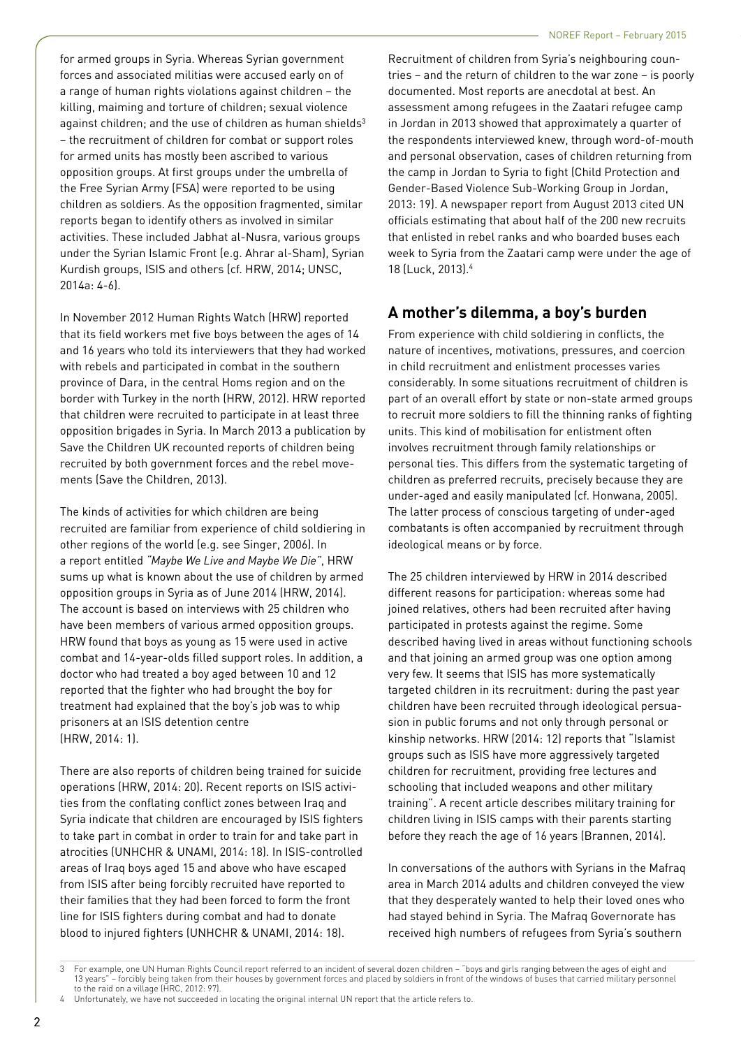for armed groups in Syria. Whereas Syrian government forces and associated militias were accused early on of a range of human rights violations against children – the killing, maiming and torture of children; sexual violence against children; and the use of children as human shields<sup>3</sup> – the recruitment of children for combat or support roles for armed units has mostly been ascribed to various opposition groups. At first groups under the umbrella of the Free Syrian Army (FSA) were reported to be using children as soldiers. As the opposition fragmented, similar reports began to identify others as involved in similar activities. These included Jabhat al-Nusra, various groups under the Syrian Islamic Front (e.g. Ahrar al-Sham), Syrian Kurdish groups, ISIS and others (cf. HRW, 2014; UNSC, 2014a: 4-6).

In November 2012 Human Rights Watch (HRW) reported that its field workers met five boys between the ages of 14 and 16 years who told its interviewers that they had worked with rebels and participated in combat in the southern province of Dara, in the central Homs region and on the border with Turkey in the north (HRW, 2012). HRW reported that children were recruited to participate in at least three opposition brigades in Syria. In March 2013 a publication by Save the Children UK recounted reports of children being recruited by both government forces and the rebel movements (Save the Children, 2013).

The kinds of activities for which children are being recruited are familiar from experience of child soldiering in other regions of the world (e.g. see Singer, 2006). In a report entitled *"Maybe We Live and Maybe We Die"*, HRW sums up what is known about the use of children by armed opposition groups in Syria as of June 2014 (HRW, 2014). The account is based on interviews with 25 children who have been members of various armed opposition groups. HRW found that boys as young as 15 were used in active combat and 14-year-olds filled support roles. In addition, a doctor who had treated a boy aged between 10 and 12 reported that the fighter who had brought the boy for treatment had explained that the boy's job was to whip prisoners at an ISIS detention centre (HRW, 2014: 1).

There are also reports of children being trained for suicide operations (HRW, 2014: 20). Recent reports on ISIS activities from the conflating conflict zones between Iraq and Syria indicate that children are encouraged by ISIS fighters to take part in combat in order to train for and take part in atrocities (UNHCHR & UNAMI, 2014: 18). In ISIS-controlled areas of Iraq boys aged 15 and above who have escaped from ISIS after being forcibly recruited have reported to their families that they had been forced to form the front line for ISIS fighters during combat and had to donate blood to injured fighters (UNHCHR & UNAMI, 2014: 18).

Recruitment of children from Syria's neighbouring countries – and the return of children to the war zone – is poorly documented. Most reports are anecdotal at best. An assessment among refugees in the Zaatari refugee camp in Jordan in 2013 showed that approximately a quarter of the respondents interviewed knew, through word-of-mouth and personal observation, cases of children returning from the camp in Jordan to Syria to fight (Child Protection and Gender-Based Violence Sub-Working Group in Jordan, 2013: 19). A newspaper report from August 2013 cited UN officials estimating that about half of the 200 new recruits that enlisted in rebel ranks and who boarded buses each week to Syria from the Zaatari camp were under the age of 18 (Luck, 2013).4

#### **A mother's dilemma, a boy's burden**

From experience with child soldiering in conflicts, the nature of incentives, motivations, pressures, and coercion in child recruitment and enlistment processes varies considerably. In some situations recruitment of children is part of an overall effort by state or non-state armed groups to recruit more soldiers to fill the thinning ranks of fighting units. This kind of mobilisation for enlistment often involves recruitment through family relationships or personal ties. This differs from the systematic targeting of children as preferred recruits, precisely because they are under-aged and easily manipulated (cf. Honwana, 2005). The latter process of conscious targeting of under-aged combatants is often accompanied by recruitment through ideological means or by force.

The 25 children interviewed by HRW in 2014 described different reasons for participation: whereas some had joined relatives, others had been recruited after having participated in protests against the regime. Some described having lived in areas without functioning schools and that joining an armed group was one option among very few. It seems that ISIS has more systematically targeted children in its recruitment: during the past year children have been recruited through ideological persuasion in public forums and not only through personal or kinship networks. HRW (2014: 12) reports that "Islamist groups such as ISIS have more aggressively targeted children for recruitment, providing free lectures and schooling that included weapons and other military training". A recent article describes military training for children living in ISIS camps with their parents starting before they reach the age of 16 years (Brannen, 2014).

In conversations of the authors with Syrians in the Mafraq area in March 2014 adults and children conveyed the view that they desperately wanted to help their loved ones who had stayed behind in Syria. The Mafraq Governorate has received high numbers of refugees from Syria's southern

<sup>3</sup> For example, one UN Human Rights Council report referred to an incident of several dozen children – "boys and girls ranging between the ages of eight and 13 years" – forcibly being taken from their houses by government forces and placed by soldiers in front of the windows of buses that carried military personnel to the raid on a village (HRC, 2012: 97).

Unfortunately, we have not succeeded in locating the original internal UN report that the article refers to.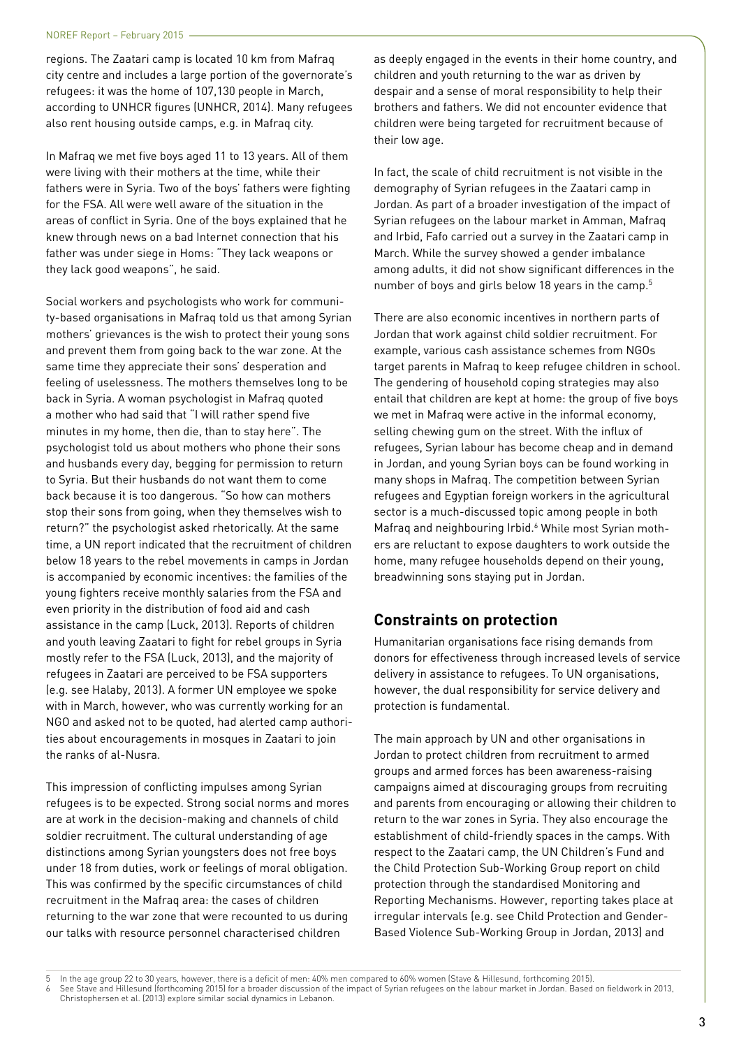regions. The Zaatari camp is located 10 km from Mafraq city centre and includes a large portion of the governorate's refugees: it was the home of 107,130 people in March, according to UNHCR figures (UNHCR, 2014). Many refugees also rent housing outside camps, e.g. in Mafraq city.

In Mafraq we met five boys aged 11 to 13 years. All of them were living with their mothers at the time, while their fathers were in Syria. Two of the boys' fathers were fighting for the FSA. All were well aware of the situation in the areas of conflict in Syria. One of the boys explained that he knew through news on a bad Internet connection that his father was under siege in Homs: "They lack weapons or they lack good weapons", he said.

Social workers and psychologists who work for community-based organisations in Mafraq told us that among Syrian mothers' grievances is the wish to protect their young sons and prevent them from going back to the war zone. At the same time they appreciate their sons' desperation and feeling of uselessness. The mothers themselves long to be back in Syria. A woman psychologist in Mafraq quoted a mother who had said that "I will rather spend five minutes in my home, then die, than to stay here". The psychologist told us about mothers who phone their sons and husbands every day, begging for permission to return to Syria. But their husbands do not want them to come back because it is too dangerous. "So how can mothers stop their sons from going, when they themselves wish to return?" the psychologist asked rhetorically. At the same time, a UN report indicated that the recruitment of children below 18 years to the rebel movements in camps in Jordan is accompanied by economic incentives: the families of the young fighters receive monthly salaries from the FSA and even priority in the distribution of food aid and cash assistance in the camp (Luck, 2013). Reports of children and youth leaving Zaatari to fight for rebel groups in Syria mostly refer to the FSA (Luck, 2013), and the majority of refugees in Zaatari are perceived to be FSA supporters (e.g. see Halaby, 2013). A former UN employee we spoke with in March, however, who was currently working for an NGO and asked not to be quoted, had alerted camp authorities about encouragements in mosques in Zaatari to join the ranks of al-Nusra.

This impression of conflicting impulses among Syrian refugees is to be expected. Strong social norms and mores are at work in the decision-making and channels of child soldier recruitment. The cultural understanding of age distinctions among Syrian youngsters does not free boys under 18 from duties, work or feelings of moral obligation. This was confirmed by the specific circumstances of child recruitment in the Mafraq area: the cases of children returning to the war zone that were recounted to us during our talks with resource personnel characterised children

as deeply engaged in the events in their home country, and children and youth returning to the war as driven by despair and a sense of moral responsibility to help their brothers and fathers. We did not encounter evidence that children were being targeted for recruitment because of their low age.

In fact, the scale of child recruitment is not visible in the demography of Syrian refugees in the Zaatari camp in Jordan. As part of a broader investigation of the impact of Syrian refugees on the labour market in Amman, Mafraq and Irbid, Fafo carried out a survey in the Zaatari camp in March. While the survey showed a gender imbalance among adults, it did not show significant differences in the number of boys and girls below 18 years in the camp.<sup>5</sup>

There are also economic incentives in northern parts of Jordan that work against child soldier recruitment. For example, various cash assistance schemes from NGOs target parents in Mafraq to keep refugee children in school. The gendering of household coping strategies may also entail that children are kept at home: the group of five boys we met in Mafraq were active in the informal economy, selling chewing gum on the street. With the influx of refugees, Syrian labour has become cheap and in demand in Jordan, and young Syrian boys can be found working in many shops in Mafraq. The competition between Syrian refugees and Egyptian foreign workers in the agricultural sector is a much-discussed topic among people in both Mafraq and neighbouring Irbid.<sup>6</sup> While most Syrian mothers are reluctant to expose daughters to work outside the home, many refugee households depend on their young, breadwinning sons staying put in Jordan.

### **Constraints on protection**

Humanitarian organisations face rising demands from donors for effectiveness through increased levels of service delivery in assistance to refugees. To UN organisations, however, the dual responsibility for service delivery and protection is fundamental.

The main approach by UN and other organisations in Jordan to protect children from recruitment to armed groups and armed forces has been awareness-raising campaigns aimed at discouraging groups from recruiting and parents from encouraging or allowing their children to return to the war zones in Syria. They also encourage the establishment of child-friendly spaces in the camps. With respect to the Zaatari camp, the UN Children's Fund and the Child Protection Sub-Working Group report on child protection through the standardised Monitoring and Reporting Mechanisms. However, reporting takes place at irregular intervals (e.g. see Child Protection and Gender-Based Violence Sub-Working Group in Jordan, 2013) and

<sup>5</sup> In the age group 22 to 30 years, however, there is a deficit of men: 40% men compared to 60% women (Stave & Hillesund, forthcoming 2015).

See Stave and Hillesund (forthcoming 2015) for a broader discussion of the impact of Syrian refugees on the labour market in Jordan. Based on fieldwork in 2013, Christophersen et al. (2013) explore similar social dynamics in Lebanon.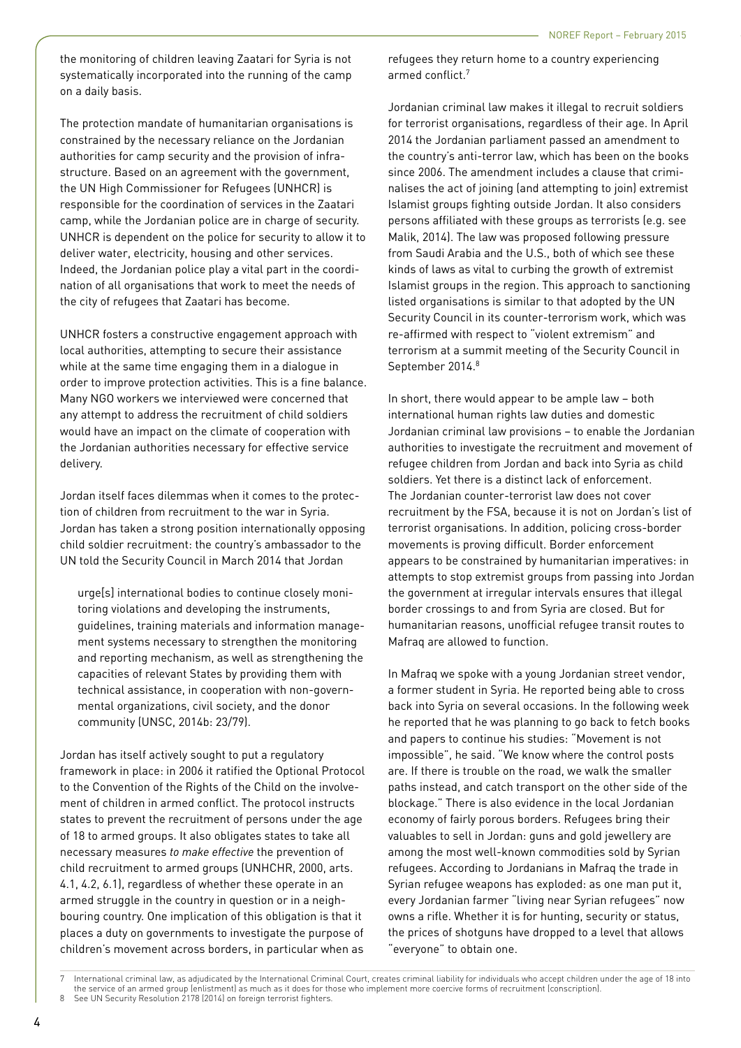the monitoring of children leaving Zaatari for Syria is not systematically incorporated into the running of the camp on a daily basis.

The protection mandate of humanitarian organisations is constrained by the necessary reliance on the Jordanian authorities for camp security and the provision of infrastructure. Based on an agreement with the government, the UN High Commissioner for Refugees (UNHCR) is responsible for the coordination of services in the Zaatari camp, while the Jordanian police are in charge of security. UNHCR is dependent on the police for security to allow it to deliver water, electricity, housing and other services. Indeed, the Jordanian police play a vital part in the coordination of all organisations that work to meet the needs of the city of refugees that Zaatari has become.

UNHCR fosters a constructive engagement approach with local authorities, attempting to secure their assistance while at the same time engaging them in a dialogue in order to improve protection activities. This is a fine balance. Many NGO workers we interviewed were concerned that any attempt to address the recruitment of child soldiers would have an impact on the climate of cooperation with the Jordanian authorities necessary for effective service delivery.

Jordan itself faces dilemmas when it comes to the protection of children from recruitment to the war in Syria. Jordan has taken a strong position internationally opposing child soldier recruitment: the country's ambassador to the UN told the Security Council in March 2014 that Jordan

urge[s] international bodies to continue closely monitoring violations and developing the instruments, guidelines, training materials and information management systems necessary to strengthen the monitoring and reporting mechanism, as well as strengthening the capacities of relevant States by providing them with technical assistance, in cooperation with non-governmental organizations, civil society, and the donor community (UNSC, 2014b: 23/79).

Jordan has itself actively sought to put a regulatory framework in place: in 2006 it ratified the Optional Protocol to the Convention of the Rights of the Child on the involvement of children in armed conflict. The protocol instructs states to prevent the recruitment of persons under the age of 18 to armed groups. It also obligates states to take all necessary measures *to make effective* the prevention of child recruitment to armed groups (UNHCHR, 2000, arts. 4.1, 4.2, 6.1), regardless of whether these operate in an armed struggle in the country in question or in a neighbouring country. One implication of this obligation is that it places a duty on governments to investigate the purpose of children's movement across borders, in particular when as

refugees they return home to a country experiencing armed conflict.7

Jordanian criminal law makes it illegal to recruit soldiers for terrorist organisations, regardless of their age. In April 2014 the Jordanian parliament passed an amendment to the country's anti-terror law, which has been on the books since 2006. The amendment includes a clause that criminalises the act of joining (and attempting to join) extremist Islamist groups fighting outside Jordan. It also considers persons affiliated with these groups as terrorists (e.g. see Malik, 2014). The law was proposed following pressure from Saudi Arabia and the U.S., both of which see these kinds of laws as vital to curbing the growth of extremist Islamist groups in the region. This approach to sanctioning listed organisations is similar to that adopted by the UN Security Council in its counter-terrorism work, which was re-affirmed with respect to "violent extremism" and terrorism at a summit meeting of the Security Council in September 2014.<sup>8</sup>

In short, there would appear to be ample law – both international human rights law duties and domestic Jordanian criminal law provisions – to enable the Jordanian authorities to investigate the recruitment and movement of refugee children from Jordan and back into Syria as child soldiers. Yet there is a distinct lack of enforcement. The Jordanian counter-terrorist law does not cover recruitment by the FSA, because it is not on Jordan's list of terrorist organisations. In addition, policing cross-border movements is proving difficult. Border enforcement appears to be constrained by humanitarian imperatives: in attempts to stop extremist groups from passing into Jordan the government at irregular intervals ensures that illegal border crossings to and from Syria are closed. But for humanitarian reasons, unofficial refugee transit routes to Mafraq are allowed to function.

In Mafraq we spoke with a young Jordanian street vendor, a former student in Syria. He reported being able to cross back into Syria on several occasions. In the following week he reported that he was planning to go back to fetch books and papers to continue his studies: "Movement is not impossible", he said. "We know where the control posts are. If there is trouble on the road, we walk the smaller paths instead, and catch transport on the other side of the blockage." There is also evidence in the local Jordanian economy of fairly porous borders. Refugees bring their valuables to sell in Jordan: guns and gold jewellery are among the most well-known commodities sold by Syrian refugees. According to Jordanians in Mafraq the trade in Syrian refugee weapons has exploded: as one man put it, every Jordanian farmer "living near Syrian refugees" now owns a rifle. Whether it is for hunting, security or status, the prices of shotguns have dropped to a level that allows "everyone" to obtain one.

International criminal law, as adjudicated by the International Criminal Court, creates criminal liability for individuals who accept children under the age of 18 into the service of an armed group (enlistment) as much as it does for those who implement more coercive forms of recruitment (conscription). 8 See UN Security Resolution 2178 (2014) on foreign terrorist fighters.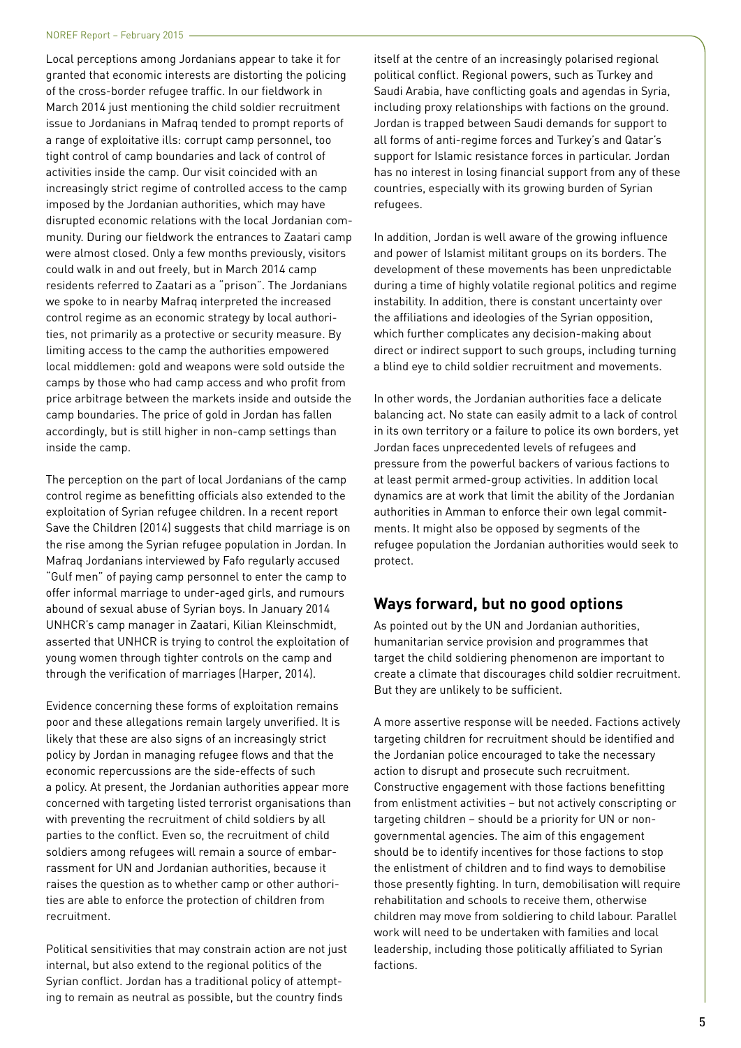Local perceptions among Jordanians appear to take it for granted that economic interests are distorting the policing of the cross-border refugee traffic. In our fieldwork in March 2014 just mentioning the child soldier recruitment issue to Jordanians in Mafraq tended to prompt reports of a range of exploitative ills: corrupt camp personnel, too tight control of camp boundaries and lack of control of activities inside the camp. Our visit coincided with an increasingly strict regime of controlled access to the camp imposed by the Jordanian authorities, which may have disrupted economic relations with the local Jordanian community. During our fieldwork the entrances to Zaatari camp were almost closed. Only a few months previously, visitors could walk in and out freely, but in March 2014 camp residents referred to Zaatari as a "prison". The Jordanians we spoke to in nearby Mafraq interpreted the increased control regime as an economic strategy by local authorities, not primarily as a protective or security measure. By limiting access to the camp the authorities empowered local middlemen: gold and weapons were sold outside the camps by those who had camp access and who profit from price arbitrage between the markets inside and outside the camp boundaries. The price of gold in Jordan has fallen accordingly, but is still higher in non-camp settings than inside the camp.

The perception on the part of local Jordanians of the camp control regime as benefitting officials also extended to the exploitation of Syrian refugee children. In a recent report Save the Children (2014) suggests that child marriage is on the rise among the Syrian refugee population in Jordan. In Mafraq Jordanians interviewed by Fafo regularly accused "Gulf men" of paying camp personnel to enter the camp to offer informal marriage to under-aged girls, and rumours abound of sexual abuse of Syrian boys. In January 2014 UNHCR's camp manager in Zaatari, Kilian Kleinschmidt, asserted that UNHCR is trying to control the exploitation of young women through tighter controls on the camp and through the verification of marriages (Harper, 2014).

Evidence concerning these forms of exploitation remains poor and these allegations remain largely unverified. It is likely that these are also signs of an increasingly strict policy by Jordan in managing refugee flows and that the economic repercussions are the side-effects of such a policy. At present, the Jordanian authorities appear more concerned with targeting listed terrorist organisations than with preventing the recruitment of child soldiers by all parties to the conflict. Even so, the recruitment of child soldiers among refugees will remain a source of embarrassment for UN and Jordanian authorities, because it raises the question as to whether camp or other authorities are able to enforce the protection of children from recruitment.

Political sensitivities that may constrain action are not just internal, but also extend to the regional politics of the Syrian conflict. Jordan has a traditional policy of attempting to remain as neutral as possible, but the country finds

itself at the centre of an increasingly polarised regional political conflict. Regional powers, such as Turkey and Saudi Arabia, have conflicting goals and agendas in Syria, including proxy relationships with factions on the ground. Jordan is trapped between Saudi demands for support to all forms of anti-regime forces and Turkey's and Qatar's support for Islamic resistance forces in particular. Jordan has no interest in losing financial support from any of these countries, especially with its growing burden of Syrian refugees.

In addition, Jordan is well aware of the growing influence and power of Islamist militant groups on its borders. The development of these movements has been unpredictable during a time of highly volatile regional politics and regime instability. In addition, there is constant uncertainty over the affiliations and ideologies of the Syrian opposition, which further complicates any decision-making about direct or indirect support to such groups, including turning a blind eye to child soldier recruitment and movements.

In other words, the Jordanian authorities face a delicate balancing act. No state can easily admit to a lack of control in its own territory or a failure to police its own borders, yet Jordan faces unprecedented levels of refugees and pressure from the powerful backers of various factions to at least permit armed-group activities. In addition local dynamics are at work that limit the ability of the Jordanian authorities in Amman to enforce their own legal commitments. It might also be opposed by segments of the refugee population the Jordanian authorities would seek to protect.

#### **Ways forward, but no good options**

As pointed out by the UN and Jordanian authorities, humanitarian service provision and programmes that target the child soldiering phenomenon are important to create a climate that discourages child soldier recruitment. But they are unlikely to be sufficient.

A more assertive response will be needed. Factions actively targeting children for recruitment should be identified and the Jordanian police encouraged to take the necessary action to disrupt and prosecute such recruitment. Constructive engagement with those factions benefitting from enlistment activities – but not actively conscripting or targeting children – should be a priority for UN or nongovernmental agencies. The aim of this engagement should be to identify incentives for those factions to stop the enlistment of children and to find ways to demobilise those presently fighting. In turn, demobilisation will require rehabilitation and schools to receive them, otherwise children may move from soldiering to child labour. Parallel work will need to be undertaken with families and local leadership, including those politically affiliated to Syrian factions.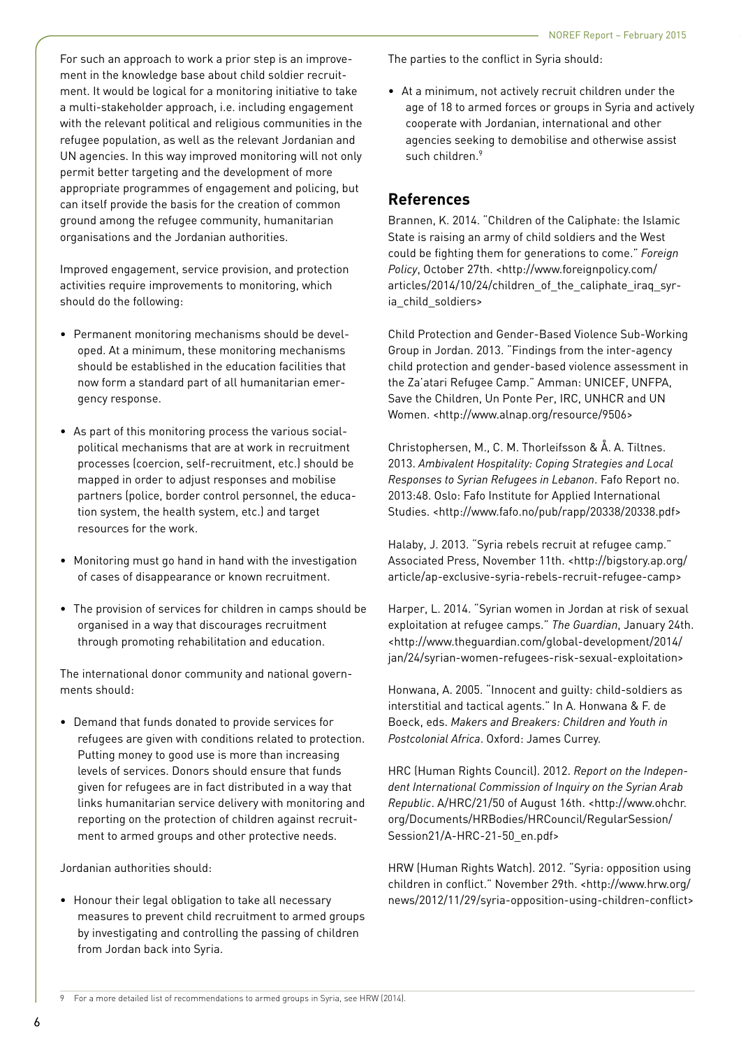For such an approach to work a prior step is an improvement in the knowledge base about child soldier recruitment. It would be logical for a monitoring initiative to take a multi-stakeholder approach, i.e. including engagement with the relevant political and religious communities in the refugee population, as well as the relevant Jordanian and UN agencies. In this way improved monitoring will not only permit better targeting and the development of more appropriate programmes of engagement and policing, but can itself provide the basis for the creation of common ground among the refugee community, humanitarian organisations and the Jordanian authorities.

Improved engagement, service provision, and protection activities require improvements to monitoring, which should do the following:

- Permanent monitoring mechanisms should be developed. At a minimum, these monitoring mechanisms should be established in the education facilities that now form a standard part of all humanitarian emergency response.
- As part of this monitoring process the various socialpolitical mechanisms that are at work in recruitment processes (coercion, self-recruitment, etc.) should be mapped in order to adjust responses and mobilise partners (police, border control personnel, the education system, the health system, etc.) and target resources for the work.
- Monitoring must go hand in hand with the investigation of cases of disappearance or known recruitment.
- The provision of services for children in camps should be organised in a way that discourages recruitment through promoting rehabilitation and education.

The international donor community and national governments should:

• Demand that funds donated to provide services for refugees are given with conditions related to protection. Putting money to good use is more than increasing levels of services. Donors should ensure that funds given for refugees are in fact distributed in a way that links humanitarian service delivery with monitoring and reporting on the protection of children against recruitment to armed groups and other protective needs.

Jordanian authorities should:

• Honour their legal obligation to take all necessary measures to prevent child recruitment to armed groups by investigating and controlling the passing of children from Jordan back into Syria.

The parties to the conflict in Syria should:

• At a minimum, not actively recruit children under the age of 18 to armed forces or groups in Syria and actively cooperate with Jordanian, international and other agencies seeking to demobilise and otherwise assist such children.<sup>9</sup>

#### **References**

Brannen, K. 2014. "Children of the Caliphate: the Islamic State is raising an army of child soldiers and the West could be fighting them for generations to come." *Foreign Policy*, October 27th. <http://www.foreignpolicy.com/ articles/2014/10/24/children\_of\_the\_caliphate\_iraq\_syria\_child\_soldiers>

Child Protection and Gender-Based Violence Sub-Working Group in Jordan. 2013. "Findings from the inter-agency child protection and gender-based violence assessment in the Za'atari Refugee Camp." Amman: UNICEF, UNFPA, Save the Children, Un Ponte Per, IRC, UNHCR and UN Women. <http://www.alnap.org/resource/9506>

Christophersen, M., C. M. Thorleifsson & Å. A. Tiltnes. 2013. *Ambivalent Hospitality: Coping Strategies and Local Responses to Syrian Refugees in Lebanon*. Fafo Report no. 2013:48. Oslo: Fafo Institute for Applied International Studies. <http://www.fafo.no/pub/rapp/20338/20338.pdf>

Halaby, J. 2013. "Syria rebels recruit at refugee camp." Associated Press, November 11th. <http://bigstory.ap.org/ article/ap-exclusive-syria-rebels-recruit-refugee-camp>

Harper, L. 2014. "Syrian women in Jordan at risk of sexual exploitation at refugee camps." *The Guardian*, January 24th. <http://www.theguardian.com/global-development/2014/ jan/24/syrian-women-refugees-risk-sexual-exploitation>

Honwana, A. 2005. "Innocent and guilty: child-soldiers as interstitial and tactical agents." In A. Honwana & F. de Boeck, eds. *Makers and Breakers: Children and Youth in Postcolonial Africa*. Oxford: James Currey.

HRC (Human Rights Council). 2012. *Report on the Independent International Commission of Inquiry on the Syrian Arab Republic*. A/HRC/21/50 of August 16th. <http://www.ohchr. org/Documents/HRBodies/HRCouncil/RegularSession/ Session21/A-HRC-21-50\_en.pdf>

HRW (Human Rights Watch). 2012. "Syria: opposition using children in conflict." November 29th. <http://www.hrw.org/ news/2012/11/29/syria-opposition-using-children-conflict>

<sup>9</sup> For a more detailed list of recommendations to armed groups in Syria, see HRW (2014).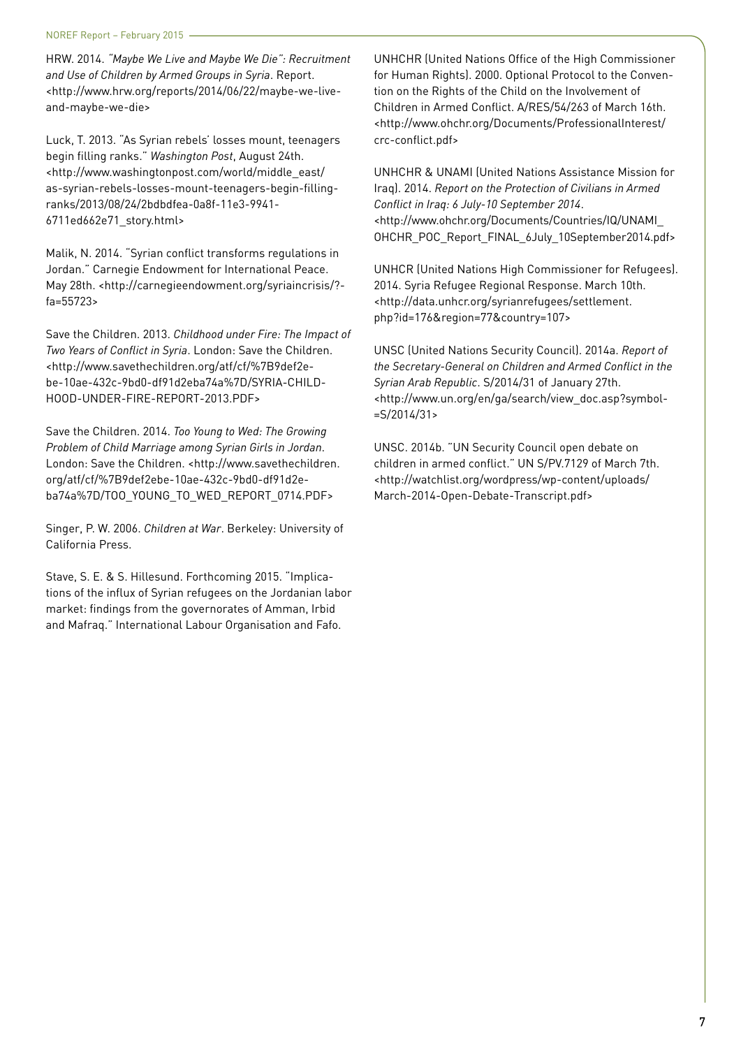HRW. 2014. *"Maybe We Live and Maybe We Die": Recruitment and Use of Children by Armed Groups in Syria*. Report. <http://www.hrw.org/reports/2014/06/22/maybe-we-liveand-maybe-we-die>

Luck, T. 2013. "As Syrian rebels' losses mount, teenagers begin filling ranks." *Washington Post*, August 24th. <http://www.washingtonpost.com/world/middle\_east/ as-syrian-rebels-losses-mount-teenagers-begin-fillingranks/2013/08/24/2bdbdfea-0a8f-11e3-9941- 6711ed662e71\_story.html>

Malik, N. 2014. "Syrian conflict transforms regulations in Jordan." Carnegie Endowment for International Peace. May 28th. <http://carnegieendowment.org/syriaincrisis/? fa=55723>

Save the Children. 2013. *Childhood under Fire: The Impact of Two Years of Conflict in Syria*. London: Save the Children. <http://www.savethechildren.org/atf/cf/%7B9def2ebe-10ae-432c-9bd0-df91d2eba74a%7D/SYRIA-CHILD-HOOD-UNDER-FIRE-REPORT-2013.PDF>

Save the Children. 2014. *Too Young to Wed: The Growing Problem of Child Marriage among Syrian Girls in Jordan*. London: Save the Children. <http://www.savethechildren. org/atf/cf/%7B9def2ebe-10ae-432c-9bd0-df91d2eba74a%7D/TOO\_YOUNG\_TO\_WED\_REPORT\_0714.PDF>

Singer, P. W. 2006. *Children at War*. Berkeley: University of California Press.

Stave, S. E. & S. Hillesund. Forthcoming 2015. "Implications of the influx of Syrian refugees on the Jordanian labor market: findings from the governorates of Amman, Irbid and Mafraq." International Labour Organisation and Fafo.

UNHCHR (United Nations Office of the High Commissioner for Human Rights). 2000. Optional Protocol to the Convention on the Rights of the Child on the Involvement of Children in Armed Conflict. A/RES/54/263 of March 16th. <http://www.ohchr.org/Documents/ProfessionalInterest/ crc-conflict.pdf>

UNHCHR & UNAMI (United Nations Assistance Mission for Iraq). 2014. *Report on the Protection of Civilians in Armed Conflict in Iraq: 6 July-10 September 2014*. <http://www.ohchr.org/Documents/Countries/IQ/UNAMI\_ OHCHR\_POC\_Report\_FINAL\_6July\_10September2014.pdf>

UNHCR (United Nations High Commissioner for Refugees). 2014. Syria Refugee Regional Response. March 10th. <http://data.unhcr.org/syrianrefugees/settlement. php?id=176&region=77&country=107>

UNSC (United Nations Security Council). 2014a. *Report of the Secretary-General on Children and Armed Conflict in the Syrian Arab Republic*. S/2014/31 of January 27th. <http://www.un.org/en/ga/search/view\_doc.asp?symbol- =S/2014/31>

UNSC. 2014b. "UN Security Council open debate on children in armed conflict." UN S/PV.7129 of March 7th. <http://watchlist.org/wordpress/wp-content/uploads/ March-2014-Open-Debate-Transcript.pdf>